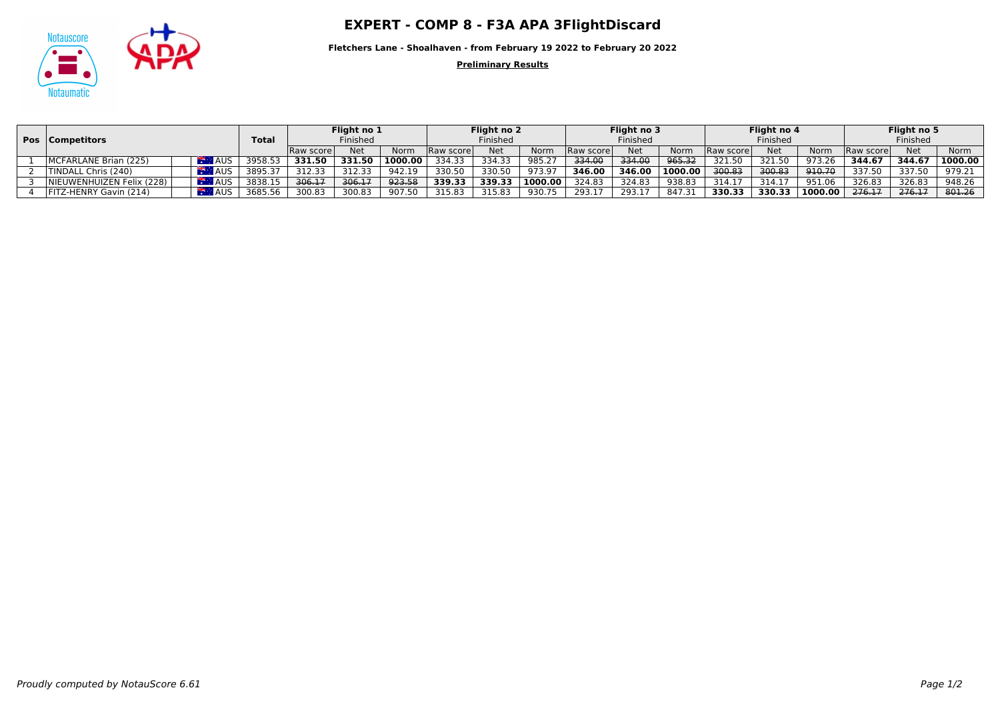## Notauscore **COMP 8 - F3A APA 3FlightDiscard**



**Fletchers Lane - Shoalhaven - from February 19 2022 to February 20 2022**

**Preliminary Results**

|  | <b>Pos</b>   Competitors  |                        | <b>Total</b> | Flight no 1<br>Finished |        |         | Flight no 2<br>Finished |            |         | Flight no 3<br>Finished |            |         | Flight no 4<br>Finished |            |         | Flight no 5<br>Finished |            |         |
|--|---------------------------|------------------------|--------------|-------------------------|--------|---------|-------------------------|------------|---------|-------------------------|------------|---------|-------------------------|------------|---------|-------------------------|------------|---------|
|  |                           |                        |              | <b>Raw scorel</b>       | Net    | Norm    | Raw score               | <b>Net</b> | Norm    | Raw score               | <b>Net</b> | Norm    | Raw score               | <b>Net</b> | Norm    | <b>Raw scorel</b>       | <b>Net</b> | Norm    |
|  | MCFARLANE Brian (225)     | <b>AUS</b><br>Fire and | 3958.5       | 331.50                  | 331.50 | 1000.00 | 334.33                  | 334.33     | 985.27  | 334.00                  | 334.00     | 965.32  | 321.50                  | 321.50     | 973.26  | 344.67                  | 344.67     | 1000.00 |
|  | TINDALL Chris (240)       | <b>AUS</b>             | 3895.37      | 312.33                  | 312.33 | 942.19  | 330.50                  | 330.50     | 973.97  | 346.00                  | 346.00     | 1000.00 | 300.83                  | 300.83     | 910.70  | 337.50                  | 337.50     | 979.21  |
|  | NIEUWENHUIZEN Felix (228) | <b>AUS</b>             | 3838.1       | 306.17                  | 306.17 | 923.58  | 339.33                  | 339.33     | 1000.00 | 324.83                  | 324.83     | 938.83  | 314.1                   | 314.17     | 951.06  | 326.83                  | 326.83     | 948.26  |
|  | FITZ-HENRY Gavin (214)    | <b>AUS</b>             | 3685.56      | 300.83                  | 300.83 | 907.50  | 315.83                  | 315.83     | 930.75  | 293.1                   | 293.17     | 847.37  | 330.33                  | 330.33     | 1000.00 | 276.17                  | 276.17     | 801.26  |